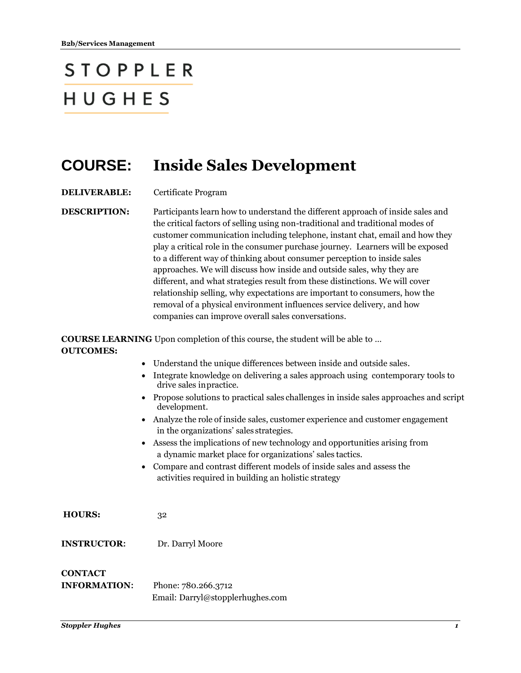## **STOPPLER** HUGHES

## **COURSE: Inside Sales Development**

**DELIVERABLE:** Certificate Program

**DESCRIPTION:** Participants learn how to understand the different approach of inside sales and the critical factors of selling using non-traditional and traditional modes of customer communication including telephone, instant chat, email and how they play a critical role in the consumer purchase journey. Learners will be exposed to a different way of thinking about consumer perception to inside sales approaches. We will discuss how inside and outside sales, why they are different, and what strategies result from these distinctions. We will cover relationship selling, why expectations are important to consumers, how the removal of a physical environment influences service delivery, and how companies can improve overall sales conversations.

**COURSE LEARNING** Upon completion of this course, the student will be able to … **OUTCOMES:**

- Understand the unique differences between inside and outside sales.
- Integrate knowledge on delivering a sales approach using contemporary tools to drive sales inpractice.
- Propose solutions to practical sales challenges in inside sales approaches and script development.
- Analyze the role of inside sales, customer experience and customer engagement in the organizations' sales strategies.
- Assess the implications of new technology and opportunities arising from a dynamic market place for organizations' sales tactics.
- Compare and contrast different models of inside sales and assess the activities required in building an holistic strategy
- **HOURS:** 32
- **INSTRUCTOR:** Dr. Darryl Moore

## **CONTACT**

**INFORMATION:** Phone: 780.266.3712 Email: Darryl@stopplerhughes.com